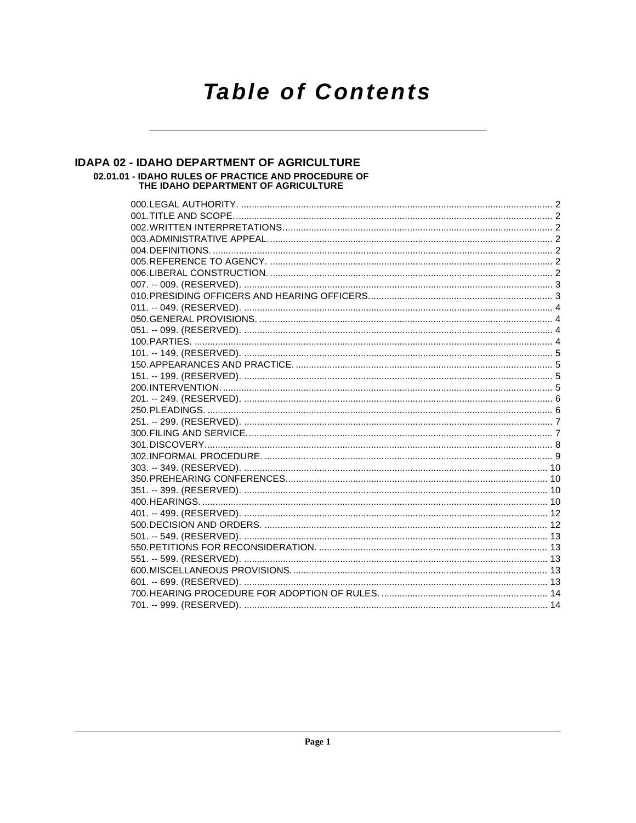# **Table of Contents**

# IDAPA 02 - IDAHO DEPARTMENT OF AGRICULTURE 02.01.01 - IDAHO RULES OF PRACTICE AND PROCEDURE OF<br>THE IDAHO DEPARTMENT OF AGRICULTURE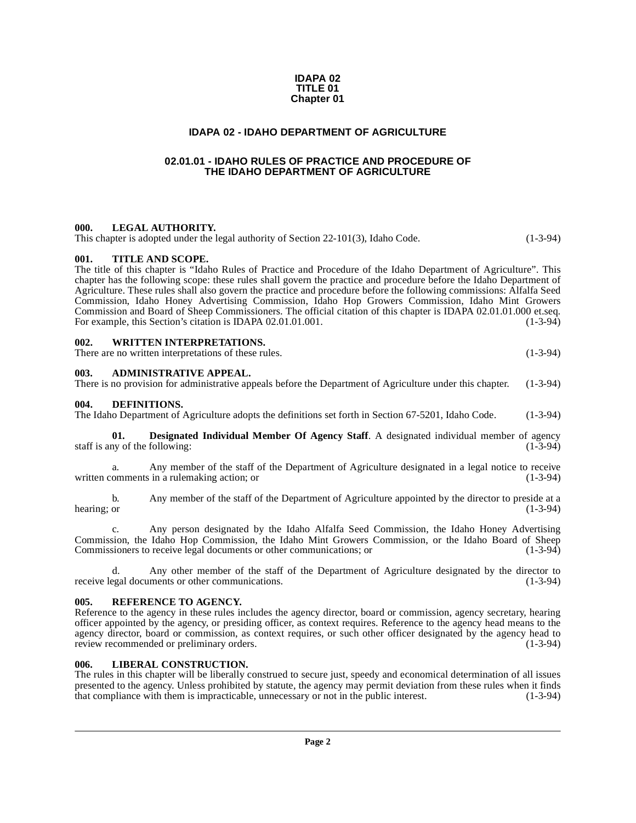#### **IDAPA 02 TITLE 01 Chapter 01**

#### **IDAPA 02 - IDAHO DEPARTMENT OF AGRICULTURE**

#### <span id="page-1-0"></span>**02.01.01 - IDAHO RULES OF PRACTICE AND PROCEDURE OF THE IDAHO DEPARTMENT OF AGRICULTURE**

#### <span id="page-1-2"></span><span id="page-1-1"></span>**000. LEGAL AUTHORITY.**

This chapter is adopted under the legal authority of Section 22-101(3), Idaho Code. (1-3-94)

#### <span id="page-1-3"></span>**001. TITLE AND SCOPE.**

The title of this chapter is "Idaho Rules of Practice and Procedure of the Idaho Department of Agriculture". This chapter has the following scope: these rules shall govern the practice and procedure before the Idaho Department of Agriculture. These rules shall also govern the practice and procedure before the following commissions: Alfalfa Seed Commission, Idaho Honey Advertising Commission, Idaho Hop Growers Commission, Idaho Mint Growers Commission and Board of Sheep Commissioners. The official citation of this chapter is IDAPA 02.01.01.000 et.seq.<br>For example, this Section's citation is IDAPA 02.01.01.001. For example, this Section's citation is IDAPA 02.01.01.001.

#### <span id="page-1-4"></span>**002. WRITTEN INTERPRETATIONS.**

There are no written interpretations of these rules. (1-3-94)

#### <span id="page-1-5"></span>**003. ADMINISTRATIVE APPEAL.**

There is no provision for administrative appeals before the Department of Agriculture under this chapter. (1-3-94)

#### <span id="page-1-9"></span><span id="page-1-6"></span>**004. DEFINITIONS.**

The Idaho Department of Agriculture adopts the definitions set forth in Section 67-5201, Idaho Code. (1-3-94)

<span id="page-1-10"></span>**01. Designated Individual Member Of Agency Staff**. A designated individual member of agency staff is any of the following: (1-3-94) (1-3-94)

a. Any member of the staff of the Department of Agriculture designated in a legal notice to receive written comments in a rulemaking action; or (1-3-94)

b. Any member of the staff of the Department of Agriculture appointed by the director to preside at a hearing; or (1-3-94) hearing; or  $(1-3-94)$ 

c. Any person designated by the Idaho Alfalfa Seed Commission, the Idaho Honey Advertising Commission, the Idaho Hop Commission, the Idaho Mint Growers Commission, or the Idaho Board of Sheep Commissioners to receive legal documents or other communications; or (1-3-94)

d. Any other member of the staff of the Department of Agriculture designated by the director to receive legal documents or other communications.

#### <span id="page-1-12"></span><span id="page-1-7"></span>**005. REFERENCE TO AGENCY.**

Reference to the agency in these rules includes the agency director, board or commission, agency secretary, hearing officer appointed by the agency, or presiding officer, as context requires. Reference to the agency head means to the agency director, board or commission, as context requires, or such other officer designated by the agency head to review recommended or preliminary orders. (1-3-94) (1-3-94)

#### <span id="page-1-11"></span><span id="page-1-8"></span>**006. LIBERAL CONSTRUCTION.**

The rules in this chapter will be liberally construed to secure just, speedy and economical determination of all issues presented to the agency. Unless prohibited by statute, the agency may permit deviation from these rules when it finds that compliance with them is impracticable, unnecessary or not in the public interest. (1-3-94)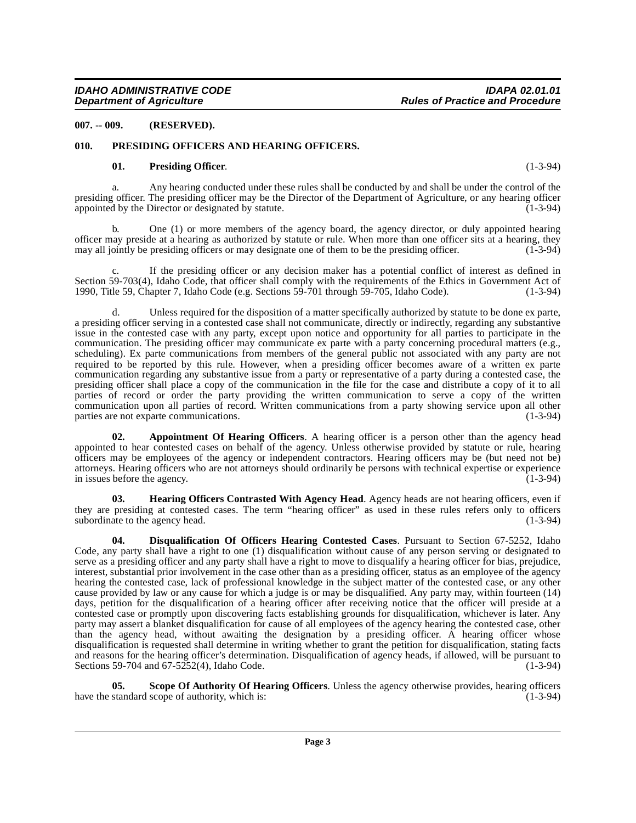<span id="page-2-0"></span>**007. -- 009. (RESERVED).**

#### <span id="page-2-1"></span>**010. PRESIDING OFFICERS AND HEARING OFFICERS.**

#### <span id="page-2-6"></span><span id="page-2-5"></span>**01. Presiding Officer**. (1-3-94)

a. Any hearing conducted under these rules shall be conducted by and shall be under the control of the presiding officer. The presiding officer may be the Director of the Department of Agriculture, or any hearing officer appointed by the Director or designated by statute. (1-3-94)

b. One (1) or more members of the agency board, the agency director, or duly appointed hearing officer may preside at a hearing as authorized by statute or rule. When more than one officer sits at a hearing, they may all jointly be presiding officers or may designate one of them to be the presiding officer.

If the presiding officer or any decision maker has a potential conflict of interest as defined in Section 59-703(4), Idaho Code, that officer shall comply with the requirements of the Ethics in Government Act of 1990, Title 59, Chapter 7, Idaho Code (e.g. Sections 59-701 through 59-705, Idaho Code). (1-3-94) 1990, Title 59, Chapter 7, Idaho Code (e.g. Sections 59-701 through 59-705, Idaho Code).

Unless required for the disposition of a matter specifically authorized by statute to be done ex parte, a presiding officer serving in a contested case shall not communicate, directly or indirectly, regarding any substantive issue in the contested case with any party, except upon notice and opportunity for all parties to participate in the communication. The presiding officer may communicate ex parte with a party concerning procedural matters (e.g., scheduling). Ex parte communications from members of the general public not associated with any party are not required to be reported by this rule. However, when a presiding officer becomes aware of a written ex parte communication regarding any substantive issue from a party or representative of a party during a contested case, the presiding officer shall place a copy of the communication in the file for the case and distribute a copy of it to all parties of record or order the party providing the written communication to serve a copy of the written communication upon all parties of record. Written communications from a party showing service upon all other parties are not exparte communications. (1-3-94) parties are not exparte communications.

<span id="page-2-2"></span>**02. Appointment Of Hearing Officers**. A hearing officer is a person other than the agency head appointed to hear contested cases on behalf of the agency. Unless otherwise provided by statute or rule, hearing officers may be employees of the agency or independent contractors. Hearing officers may be (but need not be) attorneys. Hearing officers who are not attorneys should ordinarily be persons with technical expertise or experience in issues before the agency.

<span id="page-2-4"></span>**Hearing Officers Contrasted With Agency Head.** Agency heads are not hearing officers, even if they are presiding at contested cases. The term "hearing officer" as used in these rules refers only to officers subordinate to the agency head. (1-3-94) (1-3-94)

<span id="page-2-3"></span>**04. Disqualification Of Officers Hearing Contested Cases**. Pursuant to Section 67-5252, Idaho Code, any party shall have a right to one (1) disqualification without cause of any person serving or designated to serve as a presiding officer and any party shall have a right to move to disqualify a hearing officer for bias, prejudice, interest, substantial prior involvement in the case other than as a presiding officer, status as an employee of the agency hearing the contested case, lack of professional knowledge in the subject matter of the contested case, or any other cause provided by law or any cause for which a judge is or may be disqualified. Any party may, within fourteen (14) days, petition for the disqualification of a hearing officer after receiving notice that the officer will preside at a contested case or promptly upon discovering facts establishing grounds for disqualification, whichever is later. Any party may assert a blanket disqualification for cause of all employees of the agency hearing the contested case, other than the agency head, without awaiting the designation by a presiding officer. A hearing officer whose disqualification is requested shall determine in writing whether to grant the petition for disqualification, stating facts and reasons for the hearing officer's determination. Disqualification of agency heads, if allowed, will be pursuant to Sections 59-704 and 67-5252(4), Idaho Code. (1-3-94)

<span id="page-2-7"></span>**05.** Scope Of Authority Of Hearing Officers. Unless the agency otherwise provides, hearing officers standard scope of authority, which is: (1-3-94) have the standard scope of authority, which is: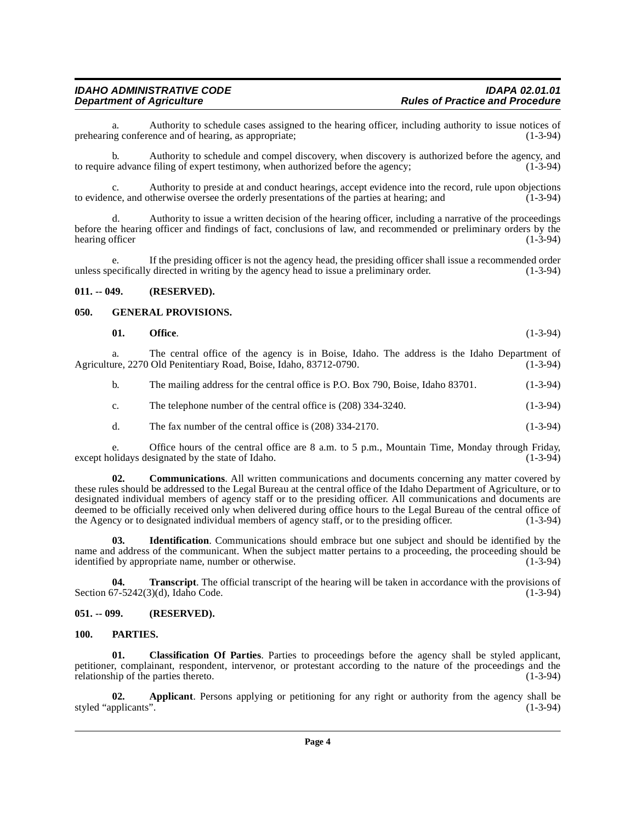|                 |  |  |  | Authority to issue a written decision of the hearing officer, including a narrative of the proceedings            |            |
|-----------------|--|--|--|-------------------------------------------------------------------------------------------------------------------|------------|
|                 |  |  |  | before the hearing officer and findings of fact, conclusions of law, and recommended or preliminary orders by the |            |
| hearing officer |  |  |  |                                                                                                                   | $(1-3-94)$ |

prehearing conference and of hearing, as appropriate;

If the presiding officer is not the agency head, the presiding officer shall issue a recommended order unless specifically directed in writing by the agency head to issue a preliminary order. (1-3-94)

to require advance filing of expert testimony, when authorized before the agency; (1-3-94)

to evidence, and otherwise oversee the orderly presentations of the parties at hearing; and

a. Authority to schedule cases assigned to the hearing officer, including authority to issue notices of negotian conference and of hearing, as appropriate:

b. Authority to schedule and compel discovery, when discovery is authorized before the agency, and

c. Authority to preside at and conduct hearings, accept evidence into the record, rule upon objections

# <span id="page-3-0"></span>**011. -- 049. (RESERVED).**

hearing officer

## <span id="page-3-1"></span>**050. GENERAL PROVISIONS.**

<span id="page-3-6"></span>**01.** Office. (1-3-94)

a. The central office of the agency is in Boise, Idaho. The address is the Idaho Department of are, 2270 Old Penitentiary Road, Boise, Idaho, 83712-0790. (1-3-94) Agriculture, 2270 Old Penitentiary Road, Boise, Idaho, 83712-0790.

b. The mailing address for the central office is P.O. Box 790, Boise, Idaho 83701. (1-3-94)

- c. The telephone number of the central office is  $(208)$  334-3240.  $(1-3-94)$
- d. The fax number of the central office is  $(208)$  334-2170.  $(1-3-94)$

e. Office hours of the central office are 8 a.m. to 5 p.m., Mountain Time, Monday through Friday, olidays designated by the state of Idaho. (1-3-94) except holidays designated by the state of Idaho.

**02. Communications**. All written communications and documents concerning any matter covered by these rules should be addressed to the Legal Bureau at the central office of the Idaho Department of Agriculture, or to designated individual members of agency staff or to the presiding officer. All communications and documents are deemed to be officially received only when delivered during office hours to the Legal Bureau of the central office of the Agency or to designated individual members of agency staff, or to the presiding officer. (1-3-94)

**03. Identification**. Communications should embrace but one subject and should be identified by the name and address of the communicant. When the subject matter pertains to a proceeding, the proceeding should be identified by appropriate name, number or otherwise. (1-3-94)

**04. Transcript**. The official transcript of the hearing will be taken in accordance with the provisions of 57-5242(3)(d). Idaho Code. (1-3-94) Section  $67-5242(3)(d)$ , Idaho Code.

# <span id="page-3-2"></span>**051. -- 099. (RESERVED).**

# <span id="page-3-7"></span><span id="page-3-3"></span>**100. PARTIES.**

<span id="page-3-5"></span>**01. Classification Of Parties**. Parties to proceedings before the agency shall be styled applicant, petitioner, complainant, respondent, intervenor, or protestant according to the nature of the proceedings and the relationship of the parties thereto. (1-3-94)

<span id="page-3-4"></span>**02.** Applicant. Persons applying or petitioning for any right or authority from the agency shall be pplicants". (1-3-94) styled "applicants".

#### **IDAHO ADMINISTRATIVE CODE IDAPA 02.01.01 Rules of Practice and Procedure**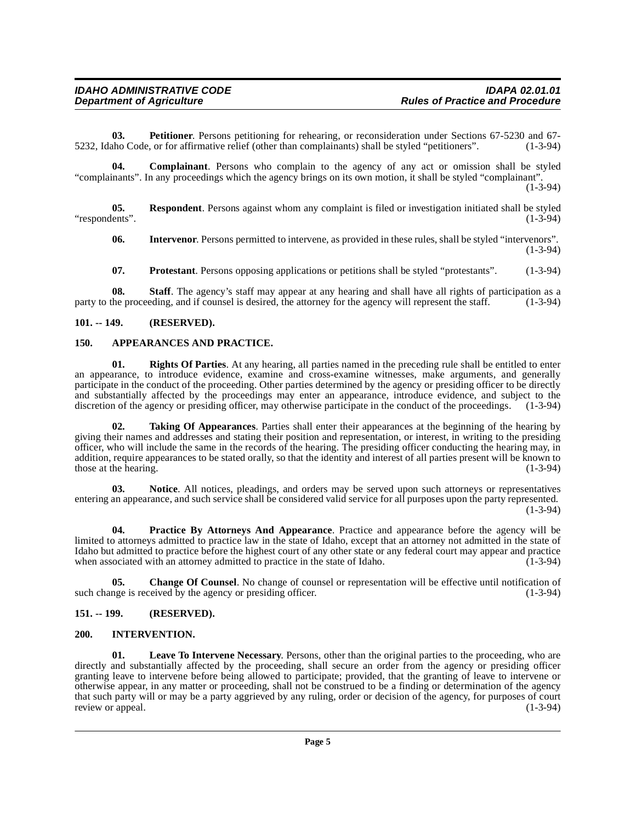<span id="page-4-11"></span>**03. Petitioner**. Persons petitioning for rehearing, or reconsideration under Sections 67-5230 and 67-<br>ho Code, or for affirmative relief (other than complainants) shall be styled "petitioners". (1-3-94) 5232, Idaho Code, or for affirmative relief (other than complainants) shall be styled "petitioners".

<span id="page-4-6"></span>**04. Complainant**. Persons who complain to the agency of any act or omission shall be styled "complainants". In any proceedings which the agency brings on its own motion, it shall be styled "complainant". (1-3-94)

**05. Respondent**. Persons against whom any complaint is filed or investigation initiated shall be styled "respondents". (1-3-94)

<span id="page-4-14"></span><span id="page-4-7"></span>**06.** Intervenor. Persons permitted to intervene, as provided in these rules, shall be styled "intervenors". (1-3-94)

<span id="page-4-16"></span><span id="page-4-13"></span>**07. Protestant**. Persons opposing applications or petitions shall be styled "protestants". (1-3-94)

**08. Staff**. The agency's staff may appear at any hearing and shall have all rights of participation as a he proceeding, and if counsel is desired, the attorney for the agency will represent the staff. (1-3-94) party to the proceeding, and if counsel is desired, the attorney for the agency will represent the staff.

#### <span id="page-4-0"></span>**101. -- 149. (RESERVED).**

#### <span id="page-4-4"></span><span id="page-4-1"></span>**150. APPEARANCES AND PRACTICE.**

<span id="page-4-15"></span>**01. Rights Of Parties**. At any hearing, all parties named in the preceding rule shall be entitled to enter an appearance, to introduce evidence, examine and cross-examine witnesses, make arguments, and generally participate in the conduct of the proceeding. Other parties determined by the agency or presiding officer to be directly and substantially affected by the proceedings may enter an appearance, introduce evidence, and subject to the discretion of the agency or presiding officer, may otherwise participate in the conduct of the proceedings. (1-3-94)

<span id="page-4-17"></span>**02. Taking Of Appearances**. Parties shall enter their appearances at the beginning of the hearing by giving their names and addresses and stating their position and representation, or interest, in writing to the presiding officer, who will include the same in the records of the hearing. The presiding officer conducting the hearing may, in addition, require appearances to be stated orally, so that the identity and interest of all parties present will be known to those at the hearing.  $(1-3-94)$ 

<span id="page-4-10"></span>**03. Notice**. All notices, pleadings, and orders may be served upon such attorneys or representatives entering an appearance, and such service shall be considered valid service for all purposes upon the party represented.  $(1-3-94)$ 

<span id="page-4-12"></span>**04. Practice By Attorneys And Appearance**. Practice and appearance before the agency will be limited to attorneys admitted to practice law in the state of Idaho, except that an attorney not admitted in the state of Idaho but admitted to practice before the highest court of any other state or any federal court may appear and practice when associated with an attorney admitted to practice in the state of Idaho.  $(1-3-94)$ 

<span id="page-4-5"></span>**05.** Change Of Counsel. No change of counsel or representation will be effective until notification of nge is received by the agency or presiding officer. (1-3-94) such change is received by the agency or presiding officer.

#### <span id="page-4-2"></span>**151. -- 199. (RESERVED).**

#### <span id="page-4-8"></span><span id="page-4-3"></span>**200. INTERVENTION.**

<span id="page-4-9"></span>**01. Leave To Intervene Necessary**. Persons, other than the original parties to the proceeding, who are directly and substantially affected by the proceeding, shall secure an order from the agency or presiding officer granting leave to intervene before being allowed to participate; provided, that the granting of leave to intervene or otherwise appear, in any matter or proceeding, shall not be construed to be a finding or determination of the agency that such party will or may be a party aggrieved by any ruling, order or decision of the agency, for purposes of court review or appeal. (1-3-94) review or appeal.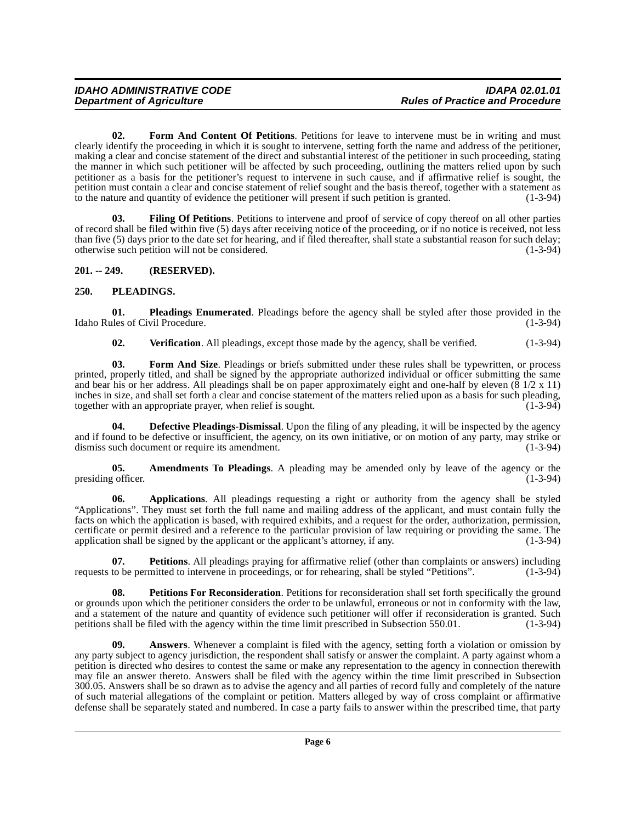<span id="page-5-7"></span>**02. Form And Content Of Petitions**. Petitions for leave to intervene must be in writing and must clearly identify the proceeding in which it is sought to intervene, setting forth the name and address of the petitioner, making a clear and concise statement of the direct and substantial interest of the petitioner in such proceeding, stating the manner in which such petitioner will be affected by such proceeding, outlining the matters relied upon by such petitioner as a basis for the petitioner's request to intervene in such cause, and if affirmative relief is sought, the petition must contain a clear and concise statement of relief sought and the basis thereof, together with a statement as to the nature and quantity of evidence the petitioner will present if such petition is granted.  $(1-3-94)$ 

<span id="page-5-6"></span>**03. Filing Of Petitions**. Petitions to intervene and proof of service of copy thereof on all other parties of record shall be filed within five (5) days after receiving notice of the proceeding, or if no notice is received, not less than five (5) days prior to the date set for hearing, and if filed thereafter, shall state a substantial reason for such delay;<br>otherwise such petition will not be considered. otherwise such petition will not be considered.

# <span id="page-5-0"></span>**201. -- 249. (RESERVED).**

## <span id="page-5-11"></span><span id="page-5-1"></span>**250. PLEADINGS.**

**01. Pleadings Enumerated**. Pleadings before the agency shall be styled after those provided in the Idaho Rules of Civil Procedure. (1-3-94)

<span id="page-5-13"></span><span id="page-5-12"></span><span id="page-5-8"></span>**02.** Verification. All pleadings, except those made by the agency, shall be verified. (1-3-94)

**03. Form And Size**. Pleadings or briefs submitted under these rules shall be typewritten, or process printed, properly titled, and shall be signed by the appropriate authorized individual or officer submitting the same and bear his or her address. All pleadings shall be on paper approximately eight and one-half by eleven  $(\frac{8}{12} \times 11)$ inches in size, and shall set forth a clear and concise statement of the matters relied upon as a basis for such pleading, together with an appropriate prayer, when relief is sought. together with an appropriate prayer, when relief is sought.

<span id="page-5-5"></span>**04. Defective Pleadings-Dismissal**. Upon the filing of any pleading, it will be inspected by the agency and if found to be defective or insufficient, the agency, on its own initiative, or on motion of any party, may strike or dismiss such document or require its amendment. (1-3-94)

<span id="page-5-2"></span>**05.** Amendments To Pleadings. A pleading may be amended only by leave of the agency or the  $\frac{1}{2}$  officer. (1-3-94) presiding officer.

<span id="page-5-4"></span>**06. Applications**. All pleadings requesting a right or authority from the agency shall be styled "Applications". They must set forth the full name and mailing address of the applicant, and must contain fully the facts on which the application is based, with required exhibits, and a request for the order, authorization, permission, certificate or permit desired and a reference to the particular provision of law requiring or providing the same. The application shall be signed by the applicant or the applicant's attorney, if any.  $(1-3-94)$ 

<span id="page-5-9"></span>**07.** Petitions. All pleadings praying for affirmative relief (other than complaints or answers) including to be permitted to intervene in proceedings, or for rehearing, shall be styled "Petitions". (1-3-94) requests to be permitted to intervene in proceedings, or for rehearing, shall be styled "Petitions".

<span id="page-5-10"></span>**08.** Petitions For Reconsideration. Petitions for reconsideration shall set forth specifically the ground or grounds upon which the petitioner considers the order to be unlawful, erroneous or not in conformity with the law, and a statement of the nature and quantity of evidence such petitioner will offer if reconsideration is granted. Such petitions shall be filed with the agency within the time limit prescribed in Subsection 550.01. (1-3-94) petitions shall be filed with the agency within the time limit prescribed in Subsection 550.01.

<span id="page-5-3"></span>**09.** Answers. Whenever a complaint is filed with the agency, setting forth a violation or omission by any party subject to agency jurisdiction, the respondent shall satisfy or answer the complaint. A party against whom a petition is directed who desires to contest the same or make any representation to the agency in connection therewith may file an answer thereto. Answers shall be filed with the agency within the time limit prescribed in Subsection 300.05. Answers shall be so drawn as to advise the agency and all parties of record fully and completely of the nature of such material allegations of the complaint or petition. Matters alleged by way of cross complaint or affirmative defense shall be separately stated and numbered. In case a party fails to answer within the prescribed time, that party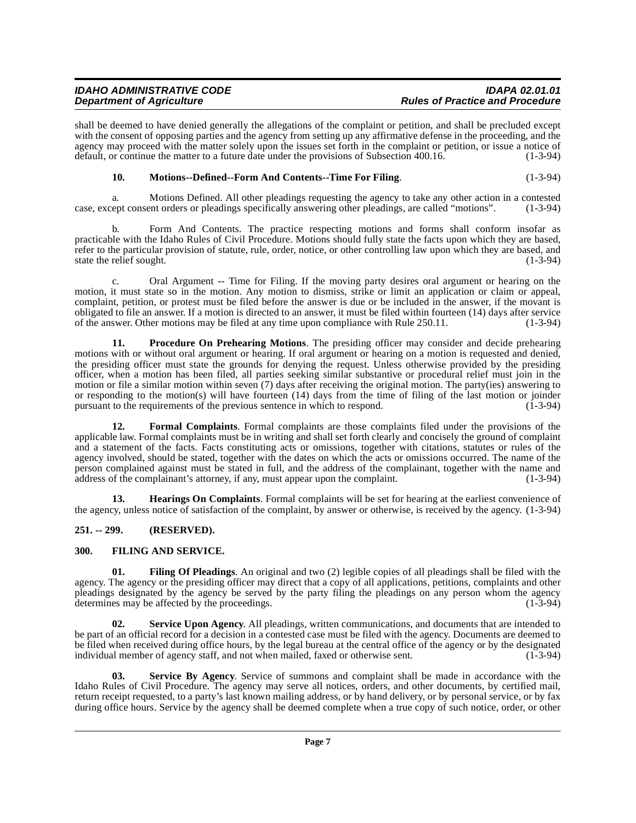| <b>IDAHO ADMINISTRATIVE CODE</b> | <b>IDAPA 02.01.01</b>                  |
|----------------------------------|----------------------------------------|
| <b>Department of Agriculture</b> | <b>Rules of Practice and Procedure</b> |

shall be deemed to have denied generally the allegations of the complaint or petition, and shall be precluded except with the consent of opposing parties and the agency from setting up any affirmative defense in the proceeding, and the agency may proceed with the matter solely upon the issues set forth in the complaint or petition, or issue a notice of default, or continue the matter to a future date under the provisions of Subsection 400.16. (1-3-94)

#### <span id="page-6-6"></span>**10.** Motions--Defined--Form And Contents--Time For Filing. (1-3-94)

a. Motions Defined. All other pleadings requesting the agency to take any other action in a contested case, except consent orders or pleadings specifically answering other pleadings, are called "motions". (1-3-94)

b. Form And Contents. The practice respecting motions and forms shall conform insofar as practicable with the Idaho Rules of Civil Procedure. Motions should fully state the facts upon which they are based, refer to the particular provision of statute, rule, order, notice, or other controlling law upon which they are based, and state the relief sought. (1-3-94)

c. Oral Argument -- Time for Filing. If the moving party desires oral argument or hearing on the motion, it must state so in the motion. Any motion to dismiss, strike or limit an application or claim or appeal, complaint, petition, or protest must be filed before the answer is due or be included in the answer, if the movant is obligated to file an answer. If a motion is directed to an answer, it must be filed within fourteen (14) days after service of the answer. Other motions may be filed at any time upon compliance with Rule 250.11. (1-3-94)

<span id="page-6-7"></span>**11. Procedure On Prehearing Motions**. The presiding officer may consider and decide prehearing motions with or without oral argument or hearing. If oral argument or hearing on a motion is requested and denied, the presiding officer must state the grounds for denying the request. Unless otherwise provided by the presiding officer, when a motion has been filed, all parties seeking similar substantive or procedural relief must join in the motion or file a similar motion within seven (7) days after receiving the original motion. The party(ies) answering to or responding to the motion(s) will have fourteen  $(14)$  days from the time of filing of the last motion or joinder pursuant to the requirements of the previous sentence in which to respond.  $(1-3-94)$ pursuant to the requirements of the previous sentence in which to respond.

<span id="page-6-4"></span>**12. Formal Complaints**. Formal complaints are those complaints filed under the provisions of the applicable law. Formal complaints must be in writing and shall set forth clearly and concisely the ground of complaint and a statement of the facts. Facts constituting acts or omissions, together with citations, statutes or rules of the agency involved, should be stated, together with the dates on which the acts or omissions occurred. The name of the person complained against must be stated in full, and the address of the complainant, together with the name and address of the complainant's attorney, if any, must appear upon the complaint. (1-3-94) address of the complainant's attorney, if any, must appear upon the complaint.

<span id="page-6-5"></span>**13. Hearings On Complaints**. Formal complaints will be set for hearing at the earliest convenience of the agency, unless notice of satisfaction of the complaint, by answer or otherwise, is received by the agency. (1-3-94)

#### <span id="page-6-0"></span>**251. -- 299. (RESERVED).**

#### <span id="page-6-3"></span><span id="page-6-2"></span><span id="page-6-1"></span>**300. FILING AND SERVICE.**

**01. Filing Of Pleadings**. An original and two (2) legible copies of all pleadings shall be filed with the agency. The agency or the presiding officer may direct that a copy of all applications, petitions, complaints and other pleadings designated by the agency be served by the party filing the pleadings on any person whom the agency determines may be affected by the proceedings. (1-3-94)

<span id="page-6-9"></span>**02. Service Upon Agency**. All pleadings, written communications, and documents that are intended to be part of an official record for a decision in a contested case must be filed with the agency. Documents are deemed to be filed when received during office hours, by the legal bureau at the central office of the agency or by the designated individual member of agency staff, and not when mailed, faxed or otherwise sent. (1-3-94)

<span id="page-6-8"></span>**03. Service By Agency**. Service of summons and complaint shall be made in accordance with the Idaho Rules of Civil Procedure. The agency may serve all notices, orders, and other documents, by certified mail, return receipt requested, to a party's last known mailing address, or by hand delivery, or by personal service, or by fax during office hours. Service by the agency shall be deemed complete when a true copy of such notice, order, or other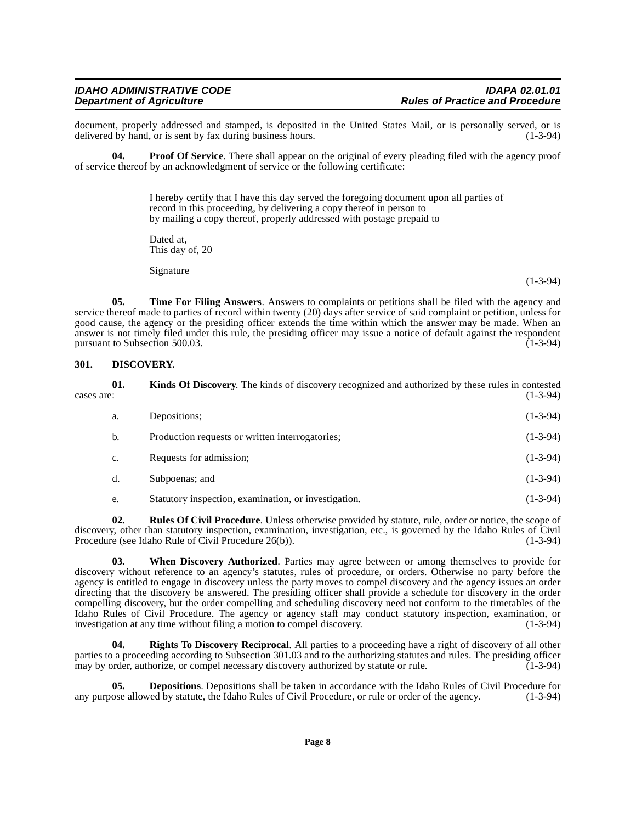document, properly addressed and stamped, is deposited in the United States Mail, or is personally served, or is delivered by hand, or is sent by fax during business hours. (1-3-94) delivered by hand, or is sent by fax during business hours.

**04. Proof Of Service**. There shall appear on the original of every pleading filed with the agency proof of service thereof by an acknowledgment of service or the following certificate:

> <span id="page-7-4"></span>I hereby certify that I have this day served the foregoing document upon all parties of record in this proceeding, by delivering a copy thereof in person to by mailing a copy thereof, properly addressed with postage prepaid to

Dated at, This day of, 20

<span id="page-7-7"></span>Signature

**05. Time For Filing Answers**. Answers to complaints or petitions shall be filed with the agency and service thereof made to parties of record within twenty (20) days after service of said complaint or petition, unless for good cause, the agency or the presiding officer extends the time within which the answer may be made. When an answer is not timely filed under this rule, the presiding officer may issue a notice of default against the respondent pursuant to Subsection 500.03.

#### <span id="page-7-2"></span><span id="page-7-0"></span>**301. DISCOVERY.**

<span id="page-7-3"></span>

| cases are: | 01. | <b>Kinds Of Discovery.</b> The kinds of discovery recognized and authorized by these rules in contested | $(1-3-94)$ |
|------------|-----|---------------------------------------------------------------------------------------------------------|------------|
|            | a.  | Depositions:                                                                                            | $(1-3-94)$ |
|            | b.  | Production requests or written interrogatories;                                                         | $(1-3-94)$ |
|            | c.  | Requests for admission;                                                                                 | $(1-3-94)$ |
|            | d.  | Subpoenas; and                                                                                          | $(1-3-94)$ |
|            |     |                                                                                                         |            |

<span id="page-7-8"></span><span id="page-7-6"></span>e. Statutory inspection, examination, or investigation. (1-3-94)

**02. Rules Of Civil Procedure**. Unless otherwise provided by statute, rule, order or notice, the scope of discovery, other than statutory inspection, examination, investigation, etc., is governed by the Idaho Rules of Civil Procedure (see Idaho Rule of Civil Procedure 26(b)). (1-3-94)

**03. When Discovery Authorized**. Parties may agree between or among themselves to provide for discovery without reference to an agency's statutes, rules of procedure, or orders. Otherwise no party before the agency is entitled to engage in discovery unless the party moves to compel discovery and the agency issues an order directing that the discovery be answered. The presiding officer shall provide a schedule for discovery in the order compelling discovery, but the order compelling and scheduling discovery need not conform to the timetables of the Idaho Rules of Civil Procedure. The agency or agency staff may conduct statutory inspection, examination, or investigation at any time without filing a motion to compel discovery. (1-3-94) investigation at any time without filing a motion to compel discovery.

<span id="page-7-5"></span>**04. Rights To Discovery Reciprocal**. All parties to a proceeding have a right of discovery of all other parties to a proceeding according to Subsection 301.03 and to the authorizing statutes and rules. The presiding officer may by order, authorize, or compel necessary discovery authorized by statute or rule. (1-3-94)

<span id="page-7-1"></span>**05. Depositions**. Depositions shall be taken in accordance with the Idaho Rules of Civil Procedure for ose allowed by statute, the Idaho Rules of Civil Procedure, or rule or order of the agency. (1-3-94) any purpose allowed by statute, the Idaho Rules of Civil Procedure, or rule or order of the agency.

(1-3-94)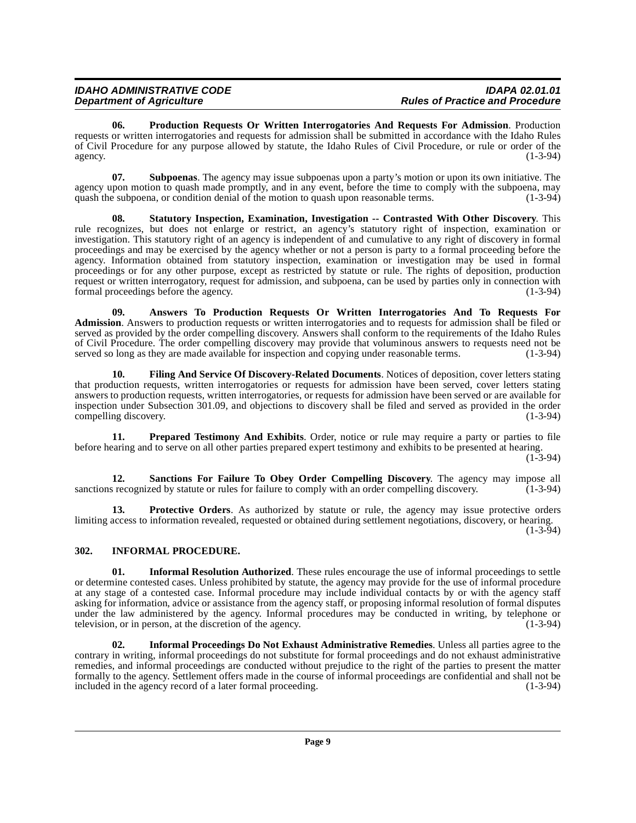<span id="page-8-7"></span>**06. Production Requests Or Written Interrogatories And Requests For Admission**. Production requests or written interrogatories and requests for admission shall be submitted in accordance with the Idaho Rules of Civil Procedure for any purpose allowed by statute, the Idaho Rules of Civil Procedure, or rule or order of the agency.  $(1-3-94)$ 

<span id="page-8-11"></span>**07. Subpoenas**. The agency may issue subpoenas upon a party's motion or upon its own initiative. The agency upon motion to quash made promptly, and in any event, before the time to comply with the subpoena, may quash the subpoena, or condition denial of the motion to quash upon reasonable terms. (1-3-94)

<span id="page-8-10"></span>**08. Statutory Inspection, Examination, Investigation -- Contrasted With Other Discovery**. This rule recognizes, but does not enlarge or restrict, an agency's statutory right of inspection, examination or investigation. This statutory right of an agency is independent of and cumulative to any right of discovery in formal proceedings and may be exercised by the agency whether or not a person is party to a formal proceeding before the agency. Information obtained from statutory inspection, examination or investigation may be used in formal proceedings or for any other purpose, except as restricted by statute or rule. The rights of deposition, production request or written interrogatory, request for admission, and subpoena, can be used by parties only in connection with formal proceedings before the agency. (1-3-94) formal proceedings before the agency.

<span id="page-8-1"></span>**09. Answers To Production Requests Or Written Interrogatories And To Requests For Admission**. Answers to production requests or written interrogatories and to requests for admission shall be filed or served as provided by the order compelling discovery. Answers shall conform to the requirements of the Idaho Rules of Civil Procedure. The order compelling discovery may provide that voluminous answers to requests need not be served so long as they are made available for inspection and copying under reasonable terms. (1-3-94) served so long as they are made available for inspection and copying under reasonable terms.

<span id="page-8-2"></span>**10. Filing And Service Of Discovery-Related Documents**. Notices of deposition, cover letters stating that production requests, written interrogatories or requests for admission have been served, cover letters stating answers to production requests, written interrogatories, or requests for admission have been served or are available for inspection under Subsection 301.09, and objections to discovery shall be filed and served as provided in the order compelling discovery.

<span id="page-8-6"></span>**11. Prepared Testimony And Exhibits**. Order, notice or rule may require a party or parties to file before hearing and to serve on all other parties prepared expert testimony and exhibits to be presented at hearing. (1-3-94)

<span id="page-8-9"></span>**12. Sanctions For Failure To Obey Order Compelling Discovery**. The agency may impose all s recognized by statute or rules for failure to comply with an order compelling discovery. (1-3-94) sanctions recognized by statute or rules for failure to comply with an order compelling discovery.

<span id="page-8-8"></span>**13. Protective Orders**. As authorized by statute or rule, the agency may issue protective orders limiting access to information revealed, requested or obtained during settlement negotiations, discovery, or hearing.

 $(1-3-94)$ 

# <span id="page-8-3"></span><span id="page-8-0"></span>**302. INFORMAL PROCEDURE.**

<span id="page-8-5"></span>**01.** Informal Resolution Authorized. These rules encourage the use of informal proceedings to settle or determine contested cases. Unless prohibited by statute, the agency may provide for the use of informal procedure at any stage of a contested case. Informal procedure may include individual contacts by or with the agency staff asking for information, advice or assistance from the agency staff, or proposing informal resolution of formal disputes under the law administered by the agency. Informal procedures may be conducted in writing, by telephone or television, or in person, at the discretion of the agency. (1-3-94)

<span id="page-8-4"></span>**02. Informal Proceedings Do Not Exhaust Administrative Remedies**. Unless all parties agree to the contrary in writing, informal proceedings do not substitute for formal proceedings and do not exhaust administrative remedies, and informal proceedings are conducted without prejudice to the right of the parties to present the matter formally to the agency. Settlement offers made in the course of informal proceedings are confidential and shall not be included in the agency record of a later formal proceeding.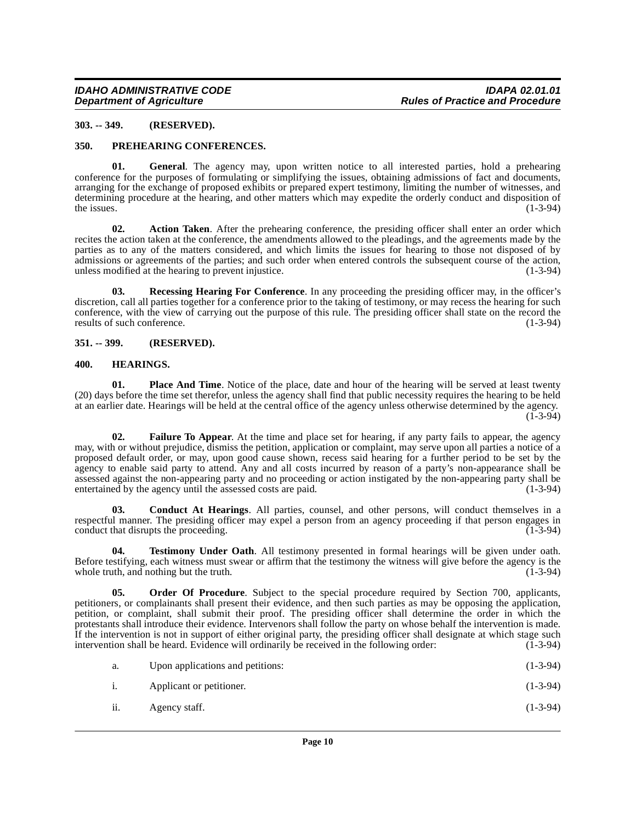#### <span id="page-9-0"></span>**303. -- 349. (RESERVED).**

#### <span id="page-9-10"></span><span id="page-9-1"></span>**350. PREHEARING CONFERENCES.**

**01. General**. The agency may, upon written notice to all interested parties, hold a prehearing conference for the purposes of formulating or simplifying the issues, obtaining admissions of fact and documents, arranging for the exchange of proposed exhibits or prepared expert testimony, limiting the number of witnesses, and determining procedure at the hearing, and other matters which may expedite the orderly conduct and disposition of the issues. (1-3-94) the issues.  $(1-3-94)$ 

<span id="page-9-4"></span>**02. Action Taken**. After the prehearing conference, the presiding officer shall enter an order which recites the action taken at the conference, the amendments allowed to the pleadings, and the agreements made by the parties as to any of the matters considered, and which limits the issues for hearing to those not disposed of by admissions or agreements of the parties; and such order when entered controls the subsequent course of the action, unless modified at the hearing to prevent injustice. (1-3-94)

<span id="page-9-11"></span>**03. Recessing Hearing For Conference**. In any proceeding the presiding officer may, in the officer's discretion, call all parties together for a conference prior to the taking of testimony, or may recess the hearing for such conference, with the view of carrying out the purpose of this rule. The presiding officer shall state on the record the results of such conference. (1-3-94)

#### <span id="page-9-2"></span>**351. -- 399. (RESERVED).**

#### <span id="page-9-7"></span><span id="page-9-3"></span>**400. HEARINGS.**

<span id="page-9-9"></span>**01.** Place And Time. Notice of the place, date and hour of the hearing will be served at least twenty (20) days before the time set therefor, unless the agency shall find that public necessity requires the hearing to be held at an earlier date. Hearings will be held at the central office of the agency unless otherwise determined by the agency.  $(1 - 3 - 94)$ 

<span id="page-9-6"></span>**02. Failure To Appear**. At the time and place set for hearing, if any party fails to appear, the agency may, with or without prejudice, dismiss the petition, application or complaint, may serve upon all parties a notice of a proposed default order, or may, upon good cause shown, recess said hearing for a further period to be set by the agency to enable said party to attend. Any and all costs incurred by reason of a party's non-appearance shall be assessed against the non-appearing party and no proceeding or action instigated by the non-appearing party shall be entertained by the agency until the assessed costs are paid. (1-3-94) entertained by the agency until the assessed costs are paid.

<span id="page-9-5"></span>**03. Conduct At Hearings**. All parties, counsel, and other persons, will conduct themselves in a respectful manner. The presiding officer may expel a person from an agency proceeding if that person engages in conduct that disrupts the proceeding. (1-3-94) conduct that disrupts the proceeding.

<span id="page-9-12"></span>**04. Testimony Under Oath**. All testimony presented in formal hearings will be given under oath. Before testifying, each witness must swear or affirm that the testimony the witness will give before the agency is the whole truth, and nothing but the truth. (1-3-94) whole truth, and nothing but the truth.

<span id="page-9-8"></span>**05. Order Of Procedure**. Subject to the special procedure required by Section 700, applicants, petitioners, or complainants shall present their evidence, and then such parties as may be opposing the application, petition, or complaint, shall submit their proof. The presiding officer shall determine the order in which the protestants shall introduce their evidence. Intervenors shall follow the party on whose behalf the intervention is made. If the intervention is not in support of either original party, the presiding officer shall designate at which stage such intervention shall be heard. Evidence will ordinarily be received in the following order:  $(1-3-94)$ intervention shall be heard. Evidence will ordinarily be received in the following order:

| a.  | Upon applications and petitions: | $(1-3-94)$ |
|-----|----------------------------------|------------|
| i.  | Applicant or petitioner.         | $(1-3-94)$ |
| ii. | Agency staff.                    | $(1-3-94)$ |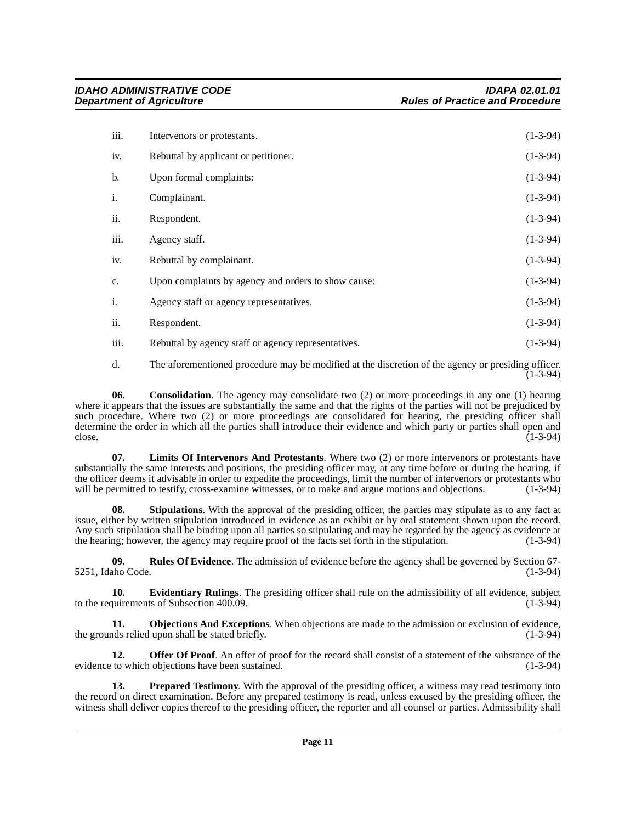| iii.        | Intervenors or protestants.                         | $(1-3-94)$ |
|-------------|-----------------------------------------------------|------------|
| iv.         | Rebuttal by applicant or petitioner.                | $(1-3-94)$ |
| b.          | Upon formal complaints:                             | $(1-3-94)$ |
| i.          | Complainant.                                        | $(1-3-94)$ |
| ii.         | Respondent.                                         | $(1-3-94)$ |
| iii.        | Agency staff.                                       | $(1-3-94)$ |
| iv.         | Rebuttal by complainant.                            | $(1-3-94)$ |
| $C_{\star}$ | Upon complaints by agency and orders to show cause: | $(1-3-94)$ |
| i.          | Agency staff or agency representatives.             | $(1-3-94)$ |
| ii.         | Respondent.                                         | $(1-3-94)$ |
| iii.        | Rebuttal by agency staff or agency representatives. | $(1-3-94)$ |

<span id="page-10-0"></span>d. The aforementioned procedure may be modified at the discretion of the agency or presiding officer.  $(1 - 3 - 94)$ 

**06.** Consolidation. The agency may consolidate two (2) or more proceedings in any one (1) hearing where it appears that the issues are substantially the same and that the rights of the parties will not be prejudiced by such procedure. Where two (2) or more proceedings are consolidated for hearing, the presiding officer shall determine the order in which all the parties shall introduce their evidence and which party or parties shall open and close.  $\epsilon$  (1-3-94) (1-3-94)

<span id="page-10-2"></span>**07. Limits Of Intervenors And Protestants**. Where two (2) or more intervenors or protestants have substantially the same interests and positions, the presiding officer may, at any time before or during the hearing, if the officer deems it advisable in order to expedite the proceedings, limit the number of intervenors or protestants who will be permitted to testify, cross-examine witnesses, or to make and argue motions and objections. (1 will be permitted to testify, cross-examine witnesses, or to make and argue motions and objections.

<span id="page-10-7"></span>**08.** Stipulations. With the approval of the presiding officer, the parties may stipulate as to any fact at issue, either by written stipulation introduced in evidence as an exhibit or by oral statement shown upon the record. Any such stipulation shall be binding upon all parties so stipulating and may be regarded by the agency as evidence at the hearing; however, the agency may require proof of the facts set forth in the stipulation. (1-3-94)

<span id="page-10-6"></span>**09. Rules Of Evidence**. The admission of evidence before the agency shall be governed by Section 67-<br>(1-3-94) 5251, Idaho Code.

<span id="page-10-1"></span>**10. Evidentiary Rulings**. The presiding officer shall rule on the admissibility of all evidence, subject to the requirements of Subsection 400.09. (1-3-94)

<span id="page-10-3"></span>**11. Objections And Exceptions**. When objections are made to the admission or exclusion of evidence, ds relied upon shall be stated briefly. (1-3-94) the grounds relied upon shall be stated briefly.

<span id="page-10-4"></span>**12. Offer Of Proof**. An offer of proof for the record shall consist of a statement of the substance of the evidence to which objections have been sustained. (1-3-94) (1-3-94)

<span id="page-10-5"></span>**13. Prepared Testimony**. With the approval of the presiding officer, a witness may read testimony into the record on direct examination. Before any prepared testimony is read, unless excused by the presiding officer, the witness shall deliver copies thereof to the presiding officer, the reporter and all counsel or parties. Admissibility shall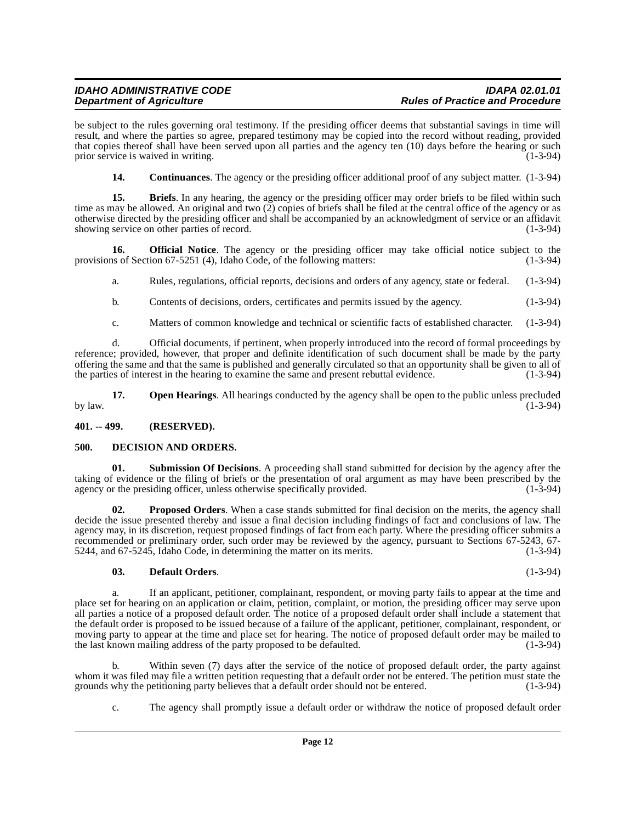be subject to the rules governing oral testimony. If the presiding officer deems that substantial savings in time will result, and where the parties so agree, prepared testimony may be copied into the record without reading, provided that copies thereof shall have been served upon all parties and the agency ten (10) days before the hearing or such prior service is waived in writing. prior service is waived in writing.

<span id="page-11-3"></span><span id="page-11-2"></span>**14.** Continuances. The agency or the presiding officer additional proof of any subject matter. (1-3-94)

**15.** Briefs. In any hearing, the agency or the presiding officer may order briefs to be filed within such time as may be allowed. An original and two  $(2)$  copies of briefs shall be filed at the central office of the agency or as otherwise directed by the presiding officer and shall be accompanied by an acknowledgment of service or an affidavit showing service on other parties of record. (1-3-94)

**16. Official Notice**. The agency or the presiding officer may take official notice subject to the provisions of Section 67-5251 (4), Idaho Code, of the following matters: (1-3-94)

<span id="page-11-6"></span>a. Rules, regulations, official reports, decisions and orders of any agency, state or federal. (1-3-94)

b. Contents of decisions, orders, certificates and permits issued by the agency. (1-3-94)

c. Matters of common knowledge and technical or scientific facts of established character. (1-3-94)

d. Official documents, if pertinent, when properly introduced into the record of formal proceedings by reference; provided, however, that proper and definite identification of such document shall be made by the party offering the same and that the same is published and generally circulated so that an opportunity shall be given to all of the parties of interest in the hearing to examine the same and present rebuttal evidence. (1-3-94)

<span id="page-11-7"></span>**17. Open Hearings**. All hearings conducted by the agency shall be open to the public unless precluded (1-3-94) by law.  $(1-3-94)$ 

#### <span id="page-11-0"></span>**401. -- 499. (RESERVED).**

#### <span id="page-11-4"></span><span id="page-11-1"></span>**500. DECISION AND ORDERS.**

<span id="page-11-9"></span>**01. Submission Of Decisions**. A proceeding shall stand submitted for decision by the agency after the taking of evidence or the filing of briefs or the presentation of oral argument as may have been prescribed by the agency or the presiding officer, unless otherwise specifically provided. (1-3-94) agency or the presiding officer, unless otherwise specifically provided.

<span id="page-11-8"></span>**02.** Proposed Orders. When a case stands submitted for final decision on the merits, the agency shall decide the issue presented thereby and issue a final decision including findings of fact and conclusions of law. The agency may, in its discretion, request proposed findings of fact from each party. Where the presiding officer submits a recommended or preliminary order, such order may be reviewed by the agency, pursuant to Sections 67-5243, 67- 5244, and 67-5245, Idaho Code, in determining the matter on its merits. (1-3-94)

## <span id="page-11-5"></span>**03. Default Orders**. (1-3-94)

a. If an applicant, petitioner, complainant, respondent, or moving party fails to appear at the time and place set for hearing on an application or claim, petition, complaint, or motion, the presiding officer may serve upon all parties a notice of a proposed default order. The notice of a proposed default order shall include a statement that the default order is proposed to be issued because of a failure of the applicant, petitioner, complainant, respondent, or moving party to appear at the time and place set for hearing. The notice of proposed default order may be mailed to<br>the last known mailing address of the party proposed to be defaulted. (1-3-94) the last known mailing address of the party proposed to be defaulted.

b. Within seven (7) days after the service of the notice of proposed default order, the party against whom it was filed may file a written petition requesting that a default order not be entered. The petition must state the grounds why the petitioning party believes that a default order should not be entered. (1-3-94) grounds why the petitioning party believes that a default order should not be entered.

c. The agency shall promptly issue a default order or withdraw the notice of proposed default order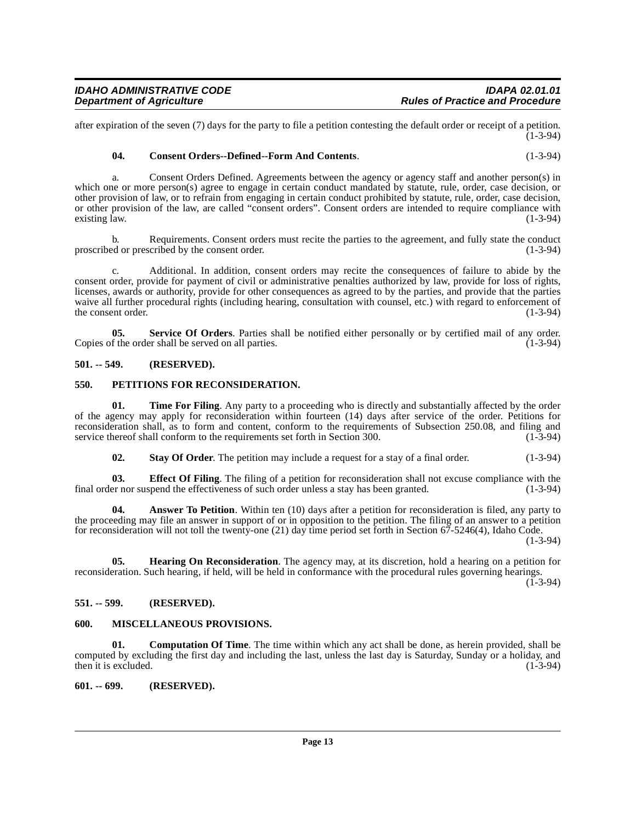after expiration of the seven (7) days for the party to file a petition contesting the default order or receipt of a petition.  $(1 - 3 - 94)$ 

#### <span id="page-12-7"></span>**04. Consent Orders--Defined--Form And Contents**. (1-3-94)

a. Consent Orders Defined. Agreements between the agency or agency staff and another person(s) in which one or more person(s) agree to engage in certain conduct mandated by statute, rule, order, case decision, or other provision of law, or to refrain from engaging in certain conduct prohibited by statute, rule, order, case decision, or other provision of the law, are called "consent orders". Consent orders are intended to require compliance with existing law. (1-3-94)

b. Requirements. Consent orders must recite the parties to the agreement, and fully state the conduct ed or prescribed by the consent order. (1-3-94) proscribed or prescribed by the consent order.

c. Additional. In addition, consent orders may recite the consequences of failure to abide by the consent order, provide for payment of civil or administrative penalties authorized by law, provide for loss of rights, licenses, awards or authority, provide for other consequences as agreed to by the parties, and provide that the parties waive all further procedural rights (including hearing, consultation with counsel, etc.) with regard to enforcement of the consent order. (1-3-94)

<span id="page-12-12"></span>**05.** Service Of Orders. Parties shall be notified either personally or by certified mail of any order.<br>
(1-3-94) Copies of the order shall be served on all parties.

#### <span id="page-12-0"></span>**501. -- 549. (RESERVED).**

#### <span id="page-12-11"></span><span id="page-12-1"></span>**550. PETITIONS FOR RECONSIDERATION.**

**01.** Time For Filing. Any party to a proceeding who is directly and substantially affected by the order of the agency may apply for reconsideration within fourteen (14) days after service of the order. Petitions for reconsideration shall, as to form and content, conform to the requirements of Subsection 250.08, and filing and service thereof shall conform to the requirements set forth in Section 300. service thereof shall conform to the requirements set forth in Section 300.

<span id="page-12-14"></span><span id="page-12-13"></span><span id="page-12-8"></span><span id="page-12-5"></span>**02. Stay Of Order**. The petition may include a request for a stay of a final order. (1-3-94)

**03. Effect Of Filing**. The filing of a petition for reconsideration shall not excuse compliance with the er nor suspend the effectiveness of such order unless a stay has been granted. (1-3-94) final order nor suspend the effectiveness of such order unless a stay has been granted.

**04.** Answer To Petition. Within ten (10) days after a petition for reconsideration is filed, any party to the proceeding may file an answer in support of or in opposition to the petition. The filing of an answer to a petition for reconsideration will not toll the twenty-one (21) day time period set forth in Section 67-5246(4), Idaho Code.

(1-3-94)

<span id="page-12-9"></span>**05. Hearing On Reconsideration**. The agency may, at its discretion, hold a hearing on a petition for reconsideration. Such hearing, if held, will be held in conformance with the procedural rules governing hearings.

 $(1-3-94)$ 

#### <span id="page-12-2"></span>**551. -- 599. (RESERVED).**

#### <span id="page-12-10"></span><span id="page-12-3"></span>**600. MISCELLANEOUS PROVISIONS.**

<span id="page-12-6"></span>**01. Computation Of Time**. The time within which any act shall be done, as herein provided, shall be computed by excluding the first day and including the last, unless the last day is Saturday, Sunday or a holiday, and then it is excluded.

#### <span id="page-12-4"></span>**601. -- 699. (RESERVED).**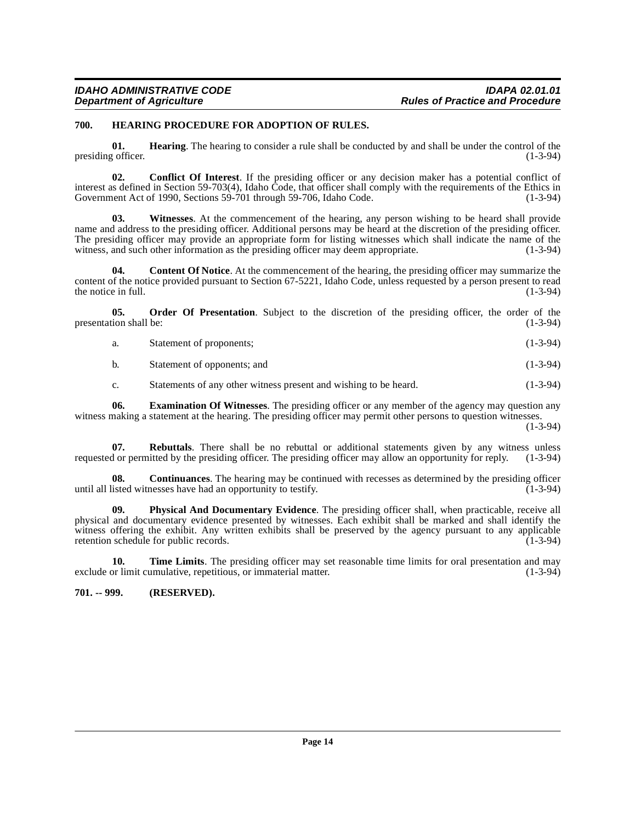#### <span id="page-13-7"></span><span id="page-13-0"></span>**700. HEARING PROCEDURE FOR ADOPTION OF RULES.**

<span id="page-13-6"></span>**01. Hearing**. The hearing to consider a rule shall be conducted by and shall be under the control of the conficer. presiding officer.

<span id="page-13-2"></span>**02. Conflict Of Interest**. If the presiding officer or any decision maker has a potential conflict of interest as defined in Section 59-703(4), Idaho Code, that officer shall comply with the requirements of the Ethics in Government Act of 1990, Sections 59-701 through 59-706, Idaho Code. (1-3-94)

<span id="page-13-12"></span>**03. Witnesses**. At the commencement of the hearing, any person wishing to be heard shall provide name and address to the presiding officer. Additional persons may be heard at the discretion of the presiding officer. The presiding officer may provide an appropriate form for listing witnesses which shall indicate the name of the witness, and such other information as the presiding officer may deem appropriate. (1-3-94) witness, and such other information as the presiding officer may deem appropriate.

<span id="page-13-3"></span>**04.** Content Of Notice. At the commencement of the hearing, the presiding officer may summarize the content of the notice provided pursuant to Section 67-5221, Idaho Code, unless requested by a person present to read<br>(1-3-94) the notice in full.

**05.** Order Of Presentation. Subject to the discretion of the presiding officer, the order of the ion shall be: (1-3-94) presentation shall be:

<span id="page-13-8"></span>

| Statement of proponents; | $(1-3-94)$ |
|--------------------------|------------|
|                          |            |

b. Statement of opponents; and (1-3-94)

<span id="page-13-10"></span><span id="page-13-5"></span>c. Statements of any other witness present and wishing to be heard. (1-3-94)

**06. Examination Of Witnesses**. The presiding officer or any member of the agency may question any witness making a statement at the hearing. The presiding officer may permit other persons to question witnesses.

(1-3-94)

**07. Rebuttals**. There shall be no rebuttal or additional statements given by any witness unless dor permitted by the presiding officer. The presiding officer may allow an opportunity for reply. (1-3-94) requested or permitted by the presiding officer. The presiding officer may allow an opportunity for reply.

<span id="page-13-4"></span>**08.** Continuances. The hearing may be continued with recesses as determined by the presiding officer listed witnesses have had an opportunity to testify. (1-3-94) until all listed witnesses have had an opportunity to testify.

<span id="page-13-9"></span>**09. Physical And Documentary Evidence**. The presiding officer shall, when practicable, receive all physical and documentary evidence presented by witnesses. Each exhibit shall be marked and shall identify the witness offering the exhibit. Any written exhibits shall be preserved by the agency pursuant to any applicable retention schedule for public records. (1-3-94)

<span id="page-13-11"></span>**10. Time Limits**. The presiding officer may set reasonable time limits for oral presentation and may or limit cumulative, repetitious, or immaterial matter. (1-3-94) exclude or limit cumulative, repetitious, or immaterial matter.

<span id="page-13-1"></span>**701. -- 999. (RESERVED).**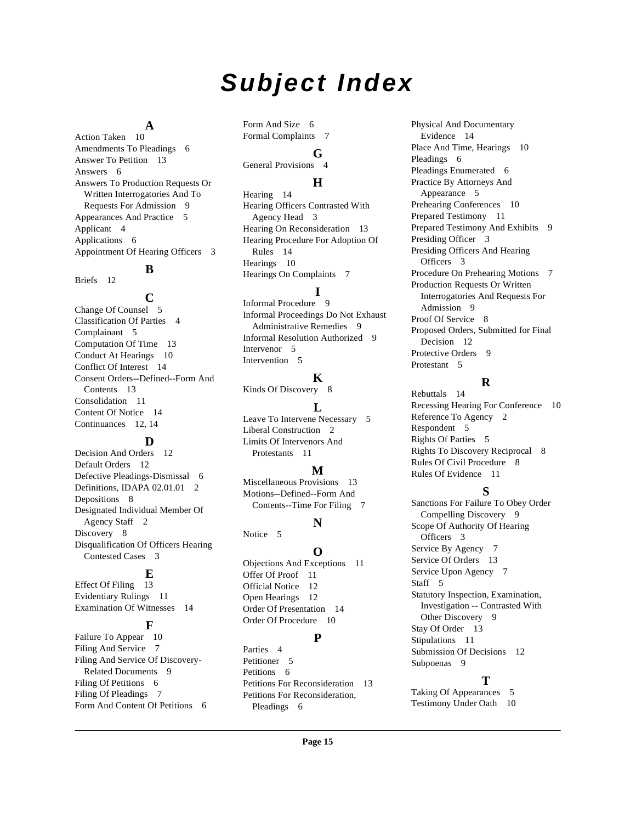# **Subject Index**

#### **A**

Action Taken [10](#page-9-4) Amendments To Pleadings [6](#page-5-2) Answer To Petition [13](#page-12-5) Answers [6](#page-5-3) Answers To Production Requests Or Written Interrogatories And To Requests For Admission [9](#page-8-1) Appearances And Practice [5](#page-4-4) Applicant [4](#page-3-4) Applications [6](#page-5-4) Appointment Of Hearing Officers [3](#page-2-2)

# **B**

Briefs [12](#page-11-2)

#### **C**

Change Of Counsel [5](#page-4-5) Classification Of Parties [4](#page-3-5) Complainant [5](#page-4-6) Computation Of Time [13](#page-12-6) Conduct At Hearings [10](#page-9-5) Conflict Of Interest [14](#page-13-2) Consent Orders--Defined--Form And Contents [13](#page-12-7) Consolidation [11](#page-10-0) Content Of Notice [14](#page-13-3) Continuances [12,](#page-11-3) [14](#page-13-4)

# **D**

Decision And Orders [12](#page-11-4) Default Orders [12](#page-11-5) Defective Pleadings-Dismissal [6](#page-5-5) Definitions, IDAPA 02.01.01 [2](#page-1-9) Depositions [8](#page-7-1) Designated Individual Member Of Agency Staff [2](#page-1-10) Discovery [8](#page-7-2) Disqualification Of Officers Hearing Contested Cases [3](#page-2-3)

# **E**

Effect Of Filing [13](#page-12-8) Evidentiary Rulings [11](#page-10-1) Examination Of Witnesses [14](#page-13-5)

# **F**

Failure To Appear [10](#page-9-6) Filing And Service [7](#page-6-2) Filing And Service Of Discovery-Related Documents [9](#page-8-2) Filing Of Petitions [6](#page-5-6) Filing Of Pleadings [7](#page-6-3) Form And Content Of Petitions [6](#page-5-7) Form And Size [6](#page-5-8) Formal Complaints [7](#page-6-4)

# **G**

General Provisions [4](#page-3-6)

# **H**

Hearing [14](#page-13-6) Hearing Officers Contrasted With Agency Head [3](#page-2-4) Hearing On Reconsideration [13](#page-12-9) Hearing Procedure For Adoption Of Rules [14](#page-13-7) Hearings [10](#page-9-7) Hearings On Complaints [7](#page-6-5)

#### **I**

Informal Procedure [9](#page-8-3) Informal Proceedings Do Not Exhaust Administrative Remedies [9](#page-8-4) Informal Resolution Authorized [9](#page-8-5) Intervenor [5](#page-4-7) Intervention [5](#page-4-8)

#### **K**

Kinds Of Discovery [8](#page-7-3)

#### **L**

Leave To Intervene Necessary [5](#page-4-9) Liberal Construction [2](#page-1-11) Limits Of Intervenors And Protestants [11](#page-10-2)

#### **M**

Miscellaneous Provisions [13](#page-12-10) Motions--Defined--Form And Contents--Time For Filing [7](#page-6-6)

#### **N**

Notice<sub>5</sub>

#### **O**

Objections And Exceptions [11](#page-10-3) Offer Of Proof [11](#page-10-4) Official Notice [12](#page-11-6) Open Hearings [12](#page-11-7) Order Of Presentation [14](#page-13-8) Order Of Procedure [10](#page-9-8)

#### **P**

Parties [4](#page-3-7) Petitioner [5](#page-4-11) Petitions [6](#page-5-9) Petitions For Reconsideration [13](#page-12-11) Petitions For Reconsideration, Pleadings [6](#page-5-10)

Physical And Documentary Evidence [14](#page-13-9) Place And Time, Hearings [10](#page-9-9) Pleadings [6](#page-5-11) Pleadings Enumerated [6](#page-5-12) Practice By Attorneys And Appearance [5](#page-4-12) Prehearing Conferences [10](#page-9-10) Prepared Testimony [11](#page-10-5) Prepared Testimony And Exhibits [9](#page-8-6) Presiding Officer [3](#page-2-5) Presiding Officers And Hearing Officers [3](#page-2-6) Procedure On Prehearing Motions [7](#page-6-7) Production Requests Or Written Interrogatories And Requests For Admission [9](#page-8-7) Proof Of Service [8](#page-7-4) Proposed Orders, Submitted for Final Decision [12](#page-11-8) Protective Orders [9](#page-8-8) Protestant [5](#page-4-13)

# **R**

Rebuttals [14](#page-13-10) Recessing Hearing For Conference [10](#page-9-11) Reference To Agency [2](#page-1-12) Respondent [5](#page-4-14) Rights Of Parties [5](#page-4-15) Rights To Discovery Reciprocal [8](#page-7-5) Rules Of Civil Procedure [8](#page-7-6) Rules Of Evidence [11](#page-10-6)

#### **S**

Sanctions For Failure To Obey Order Compelling Discovery [9](#page-8-9) Scope Of Authority Of Hearing Officers [3](#page-2-7) Service By Agency [7](#page-6-8) Service Of Orders [13](#page-12-12) Service Upon Agency [7](#page-6-9) Staff [5](#page-4-16) Statutory Inspection, Examination, Investigation -- Contrasted With Other Discovery [9](#page-8-10) Stay Of Order [13](#page-12-13) Stipulations [11](#page-10-7) Submission Of Decisions [12](#page-11-9) Subpoenas [9](#page-8-11)

#### **T**

Taking Of Appearances [5](#page-4-17) Testimony Under Oath [10](#page-9-12)